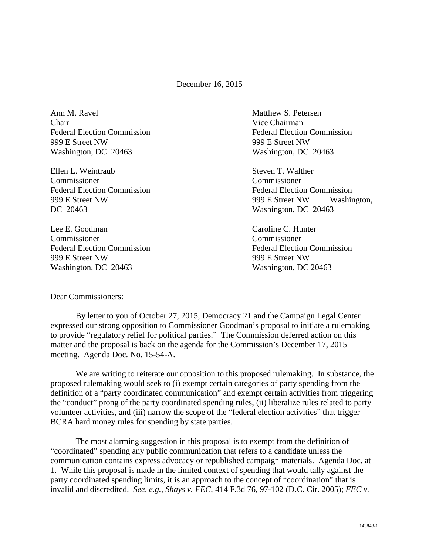December 16, 2015

Ann M. Ravel **Matthew S. Petersen** Chair Vice Chairman 999 E Street NW 999 E Street NW Washington, DC 20463 Washington, DC 20463

Ellen L. Weintraub Steven T. Walther Commissioner Commissioner DC 20463 Washington, DC 20463

Lee E. Goodman Caroline C. Hunter Commissioner Commissioner Federal Election Commission Federal Election Commission 999 E Street NW 999 E Street NW Washington, DC 20463 Washington, DC 20463

Federal Election Commission Federal Election Commission

Federal Election Commission Federal Election Commission 999 E Street NW 999 E Street NW Washington,

## Dear Commissioners:

By letter to you of October 27, 2015, Democracy 21 and the Campaign Legal Center expressed our strong opposition to Commissioner Goodman's proposal to initiate a rulemaking to provide "regulatory relief for political parties." The Commission deferred action on this matter and the proposal is back on the agenda for the Commission's December 17, 2015 meeting. Agenda Doc. No. 15-54-A.

We are writing to reiterate our opposition to this proposed rulemaking. In substance, the proposed rulemaking would seek to (i) exempt certain categories of party spending from the definition of a "party coordinated communication" and exempt certain activities from triggering the "conduct" prong of the party coordinated spending rules, (ii) liberalize rules related to party volunteer activities, and (iii) narrow the scope of the "federal election activities" that trigger BCRA hard money rules for spending by state parties.

The most alarming suggestion in this proposal is to exempt from the definition of "coordinated" spending any public communication that refers to a candidate unless the communication contains express advocacy or republished campaign materials. Agenda Doc. at 1. While this proposal is made in the limited context of spending that would tally against the party coordinated spending limits, it is an approach to the concept of "coordination" that is invalid and discredited. *See, e.g., Shays v. FEC*, 414 F.3d 76, 97-102 (D.C. Cir. 2005); *FEC v.*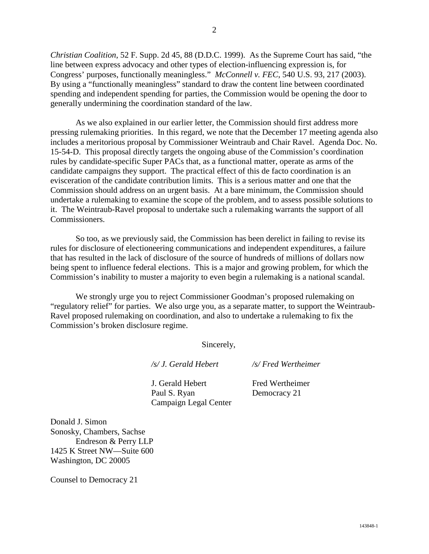*Christian Coalition*, 52 F. Supp. 2d 45, 88 (D.D.C. 1999). As the Supreme Court has said, "the line between express advocacy and other types of election-influencing expression is, for Congress' purposes, functionally meaningless." *McConnell v. FEC*, 540 U.S. 93, 217 (2003). By using a "functionally meaningless" standard to draw the content line between coordinated spending and independent spending for parties, the Commission would be opening the door to generally undermining the coordination standard of the law.

As we also explained in our earlier letter, the Commission should first address more pressing rulemaking priorities. In this regard, we note that the December 17 meeting agenda also includes a meritorious proposal by Commissioner Weintraub and Chair Ravel. Agenda Doc. No. 15-54-D. This proposal directly targets the ongoing abuse of the Commission's coordination rules by candidate-specific Super PACs that, as a functional matter, operate as arms of the candidate campaigns they support. The practical effect of this de facto coordination is an evisceration of the candidate contribution limits. This is a serious matter and one that the Commission should address on an urgent basis. At a bare minimum, the Commission should undertake a rulemaking to examine the scope of the problem, and to assess possible solutions to it. The Weintraub-Ravel proposal to undertake such a rulemaking warrants the support of all Commissioners.

So too, as we previously said, the Commission has been derelict in failing to revise its rules for disclosure of electioneering communications and independent expenditures, a failure that has resulted in the lack of disclosure of the source of hundreds of millions of dollars now being spent to influence federal elections. This is a major and growing problem, for which the Commission's inability to muster a majority to even begin a rulemaking is a national scandal.

We strongly urge you to reject Commissioner Goodman's proposed rulemaking on "regulatory relief" for parties. We also urge you, as a separate matter, to support the Weintraub-Ravel proposed rulemaking on coordination, and also to undertake a rulemaking to fix the Commission's broken disclosure regime.

Sincerely,

*/s/ J. Gerald Hebert /s/ Fred Wertheimer*

J. Gerald Hebert Fred Wertheimer Paul S. Ryan Democracy 21 Campaign Legal Center

Donald J. Simon Sonosky, Chambers, Sachse Endreson & Perry LLP 1425 K Street NW—Suite 600 Washington, DC 20005

Counsel to Democracy 21